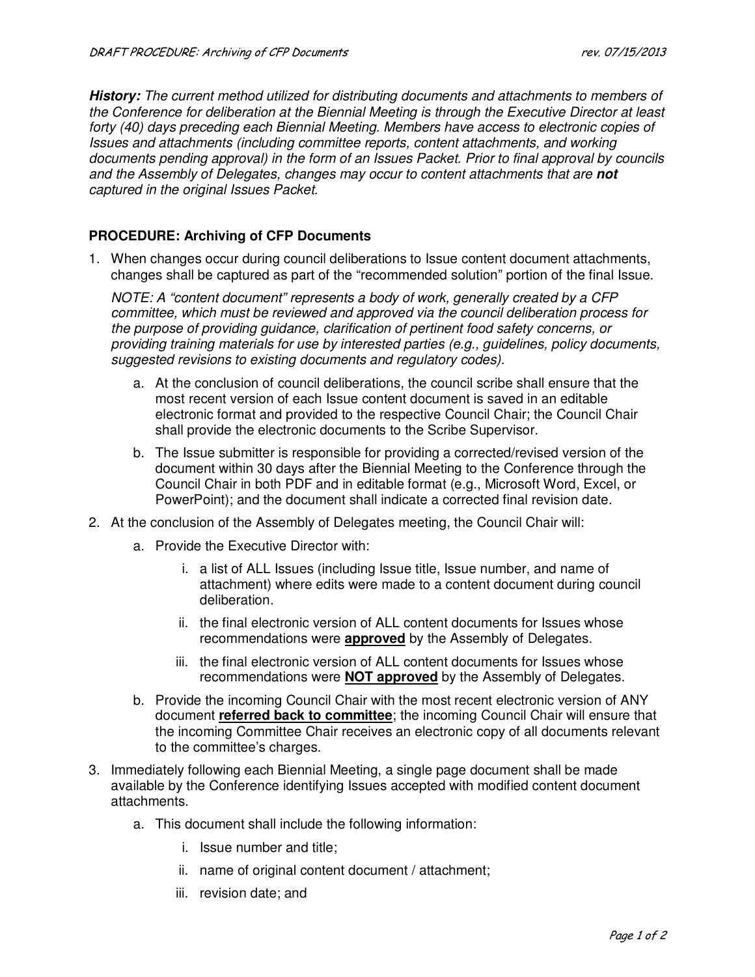**History:** *The current method utilized for distributing documents and attachments to members of the Conference for deliberation at the Biennial Meeting is through the Executive Director at least forty (40) days preceding each Biennial Meeting. Members have access to electronic copies of Issues and attachments (including committee reports, content attachments, and working documents pending approval) in the form of an Issues Packet. Prior to final approval by councils and the Assembly of Delegates, changes may occur to content attachments that are* **not** *captured in the original Issues Packet.* 

## **PROCEDURE: Archiving of CFP Documents**

1. When changes occur during council deliberations to Issue content document attachments, changes shall be captured as part of the "recommended solution" portion of the final Issue.

*NOTE: A "content document" represents a body of work, generally created by a CFP committee, which must be reviewed and approved via the council deliberation process for the purpose of providing guidance, clarification of pertinent food safety concerns, or providing training materials for use by interested parties (e.g., guidelines, policy documents, suggested revisions to existing documents and regulatory codes).* 

- a. At the conclusion of council deliberations, the council scribe shall ensure that the most recent version of each Issue content document is saved in an editable electronic format and provided to the respective Council Chair; the Council Chair shall provide the electronic documents to the Scribe Supervisor.
- b. The Issue submitter is responsible for providing a corrected/revised version of the document within 30 days after the Biennial Meeting to the Conference through the Council Chair in both PDF and in editable format (e.g., Microsoft Word, Excel, or PowerPoint); and the document shall indicate a corrected final revision date.
- 2. At the conclusion of the Assembly of Delegates meeting, the Council Chair will:
	- a. Provide the Executive Director with:
		- i. a list of ALL Issues (including Issue title, Issue number, and name of attachment) where edits were made to a content document during council deliberation.
		- ii. the final electronic version of ALL content documents for Issues whose recommendations were **approved** by the Assembly of Delegates.
		- iii. the final electronic version of ALL content documents for Issues whose recommendations were **NOT approved** by the Assembly of Delegates.
	- b. Provide the incoming Council Chair with the most recent electronic version of ANY document **referred back to committee**; the incoming Council Chair will ensure that the incoming Committee Chair receives an electronic copy of all documents relevant to the committee's charges.
- 3. Immediately following each Biennial Meeting, a single page document shall be made available by the Conference identifying Issues accepted with modified content document attachments.
	- a. This document shall include the following information:
		- i. Issue number and title;
		- ii. name of original content document / attachment;
		- iii. revision date; and